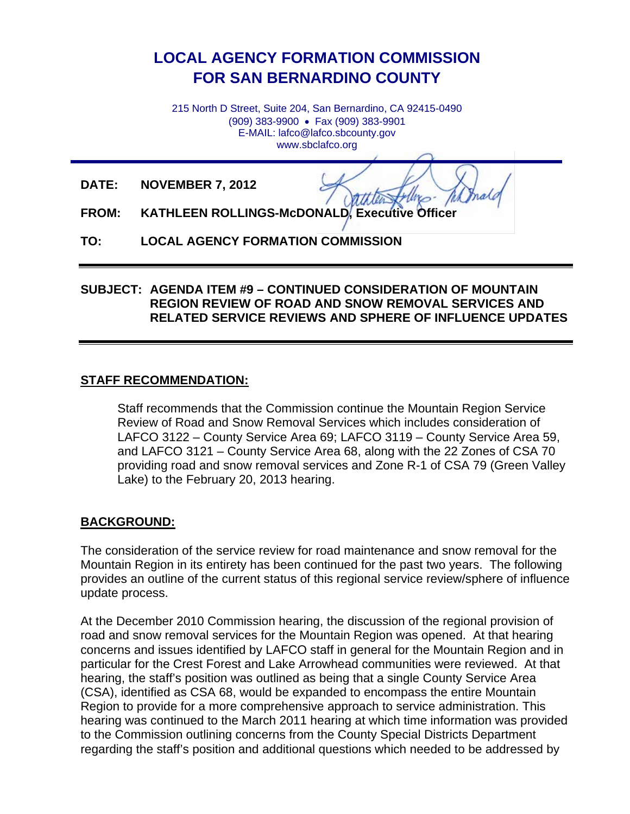# **LOCAL AGENCY FORMATION COMMISSION FOR SAN BERNARDINO COUNTY**

215 North D Street, Suite 204, San Bernardino, CA 92415-0490 (909) 383-9900 • Fax (909) 383-9901 E-MAIL: lafco@lafco.sbcounty.gov www.sbclafco.org

**DATE: NOVEMBER 7, 2012**

**FROM: KATHLEEN ROLLINGS-McDONALD, Executive Officer**

**TO: LOCAL AGENCY FORMATION COMMISSION** 

### **SUBJECT: AGENDA ITEM #9 – CONTINUED CONSIDERATION OF MOUNTAIN REGION REVIEW OF ROAD AND SNOW REMOVAL SERVICES AND RELATED SERVICE REVIEWS AND SPHERE OF INFLUENCE UPDATES**

### **STAFF RECOMMENDATION:**

Staff recommends that the Commission continue the Mountain Region Service Review of Road and Snow Removal Services which includes consideration of LAFCO 3122 – County Service Area 69; LAFCO 3119 – County Service Area 59, and LAFCO 3121 – County Service Area 68, along with the 22 Zones of CSA 70 providing road and snow removal services and Zone R-1 of CSA 79 (Green Valley Lake) to the February 20, 2013 hearing.

### **BACKGROUND:**

The consideration of the service review for road maintenance and snow removal for the Mountain Region in its entirety has been continued for the past two years. The following provides an outline of the current status of this regional service review/sphere of influence update process.

At the December 2010 Commission hearing, the discussion of the regional provision of road and snow removal services for the Mountain Region was opened. At that hearing concerns and issues identified by LAFCO staff in general for the Mountain Region and in particular for the Crest Forest and Lake Arrowhead communities were reviewed. At that hearing, the staff's position was outlined as being that a single County Service Area (CSA), identified as CSA 68, would be expanded to encompass the entire Mountain Region to provide for a more comprehensive approach to service administration. This hearing was continued to the March 2011 hearing at which time information was provided to the Commission outlining concerns from the County Special Districts Department regarding the staff's position and additional questions which needed to be addressed by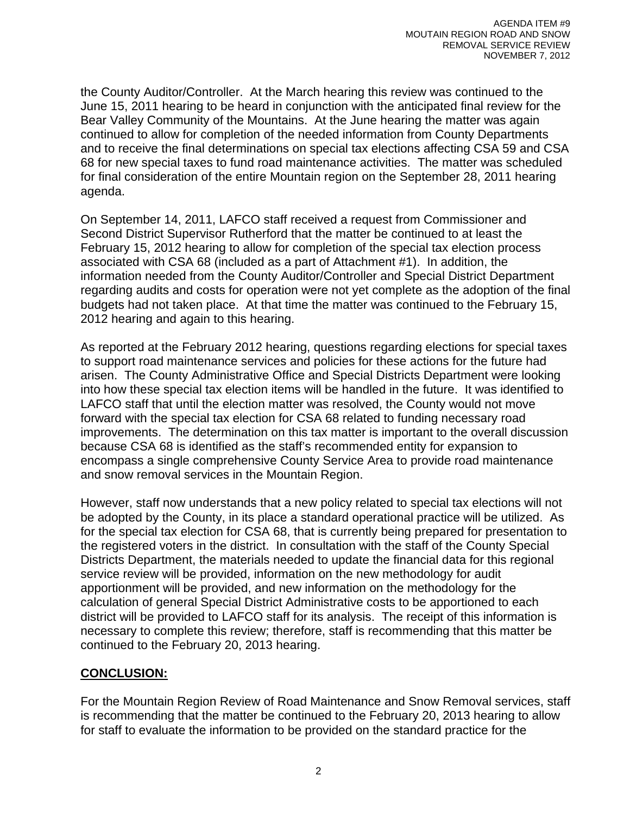the County Auditor/Controller. At the March hearing this review was continued to the June 15, 2011 hearing to be heard in conjunction with the anticipated final review for the Bear Valley Community of the Mountains. At the June hearing the matter was again continued to allow for completion of the needed information from County Departments and to receive the final determinations on special tax elections affecting CSA 59 and CSA 68 for new special taxes to fund road maintenance activities. The matter was scheduled for final consideration of the entire Mountain region on the September 28, 2011 hearing agenda.

On September 14, 2011, LAFCO staff received a request from Commissioner and Second District Supervisor Rutherford that the matter be continued to at least the February 15, 2012 hearing to allow for completion of the special tax election process associated with CSA 68 (included as a part of Attachment #1). In addition, the information needed from the County Auditor/Controller and Special District Department regarding audits and costs for operation were not yet complete as the adoption of the final budgets had not taken place. At that time the matter was continued to the February 15, 2012 hearing and again to this hearing.

As reported at the February 2012 hearing, questions regarding elections for special taxes to support road maintenance services and policies for these actions for the future had arisen. The County Administrative Office and Special Districts Department were looking into how these special tax election items will be handled in the future. It was identified to LAFCO staff that until the election matter was resolved, the County would not move forward with the special tax election for CSA 68 related to funding necessary road improvements. The determination on this tax matter is important to the overall discussion because CSA 68 is identified as the staff's recommended entity for expansion to encompass a single comprehensive County Service Area to provide road maintenance and snow removal services in the Mountain Region.

However, staff now understands that a new policy related to special tax elections will not be adopted by the County, in its place a standard operational practice will be utilized. As for the special tax election for CSA 68, that is currently being prepared for presentation to the registered voters in the district. In consultation with the staff of the County Special Districts Department, the materials needed to update the financial data for this regional service review will be provided, information on the new methodology for audit apportionment will be provided, and new information on the methodology for the calculation of general Special District Administrative costs to be apportioned to each district will be provided to LAFCO staff for its analysis. The receipt of this information is necessary to complete this review; therefore, staff is recommending that this matter be continued to the February 20, 2013 hearing.

## **CONCLUSION:**

For the Mountain Region Review of Road Maintenance and Snow Removal services, staff is recommending that the matter be continued to the February 20, 2013 hearing to allow for staff to evaluate the information to be provided on the standard practice for the